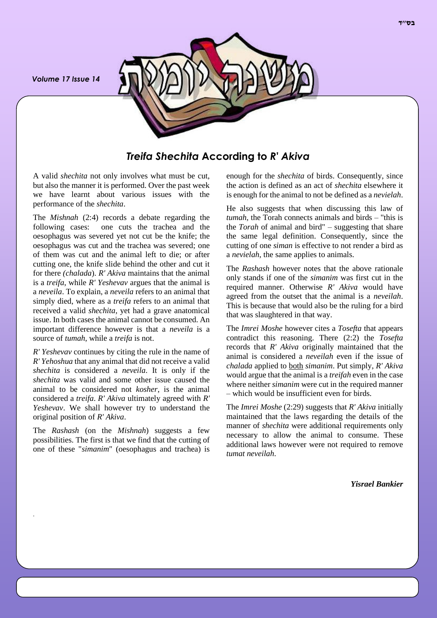*Volume 17 Issue 14*



*Treifa Shechita* **According to** *R' Akiva*

A valid *shechita* not only involves what must be cut, but also the manner it is performed. Over the past week we have learnt about various issues with the performance of the *shechita*.

The *Mishnah* (2:4) records a debate regarding the following cases: one cuts the trachea and the oesophagus was severed yet not cut be the knife; the oesophagus was cut and the trachea was severed; one of them was cut and the animal left to die; or after cutting one, the knife slide behind the other and cut it for there *(chalada*). *R' Akiva* maintains that the animal is a *treifa*, while *R' Yeshevav* argues that the animal is a *neveila*. To explain, a *neveila* refers to an animal that simply died, where as a *treifa* refers to an animal that received a valid *shechita*, yet had a grave anatomical issue. In both cases the animal cannot be consumed. An important difference however is that a *neveila* is a source of *tumah*, while a *treifa* is not.

*R' Yeshevav* continues by citing the rule in the name of *R' Yehoshua* that any animal that did not receive a valid *shechita* is considered a *neveila*. It is only if the *shechita* was valid and some other issue caused the animal to be considered not *kosher*, is the animal considered a *treifa*. *R' Akiva* ultimately agreed with *R' Yeshevav*. We shall however try to understand the original position of *R' Akiva*.

The *Rashash* (on the *Mishnah*) suggests a few possibilities. The first is that we find that the cutting of one of these "*simanim*" (oesophagus and trachea) is

.

enough for the *shechita* of birds. Consequently, since the action is defined as an act of *shechita* elsewhere it is enough for the animal to not be defined as a *nevielah*.

He also suggests that when discussing this law of *tumah*, the Torah connects animals and birds – "this is the *Torah* of animal and bird" – suggesting that share the same legal definition. Consequently, since the cutting of one *siman* is effective to not render a bird as a *nevielah*, the same applies to animals.

The *Rashash* however notes that the above rationale only stands if one of the *simanim* was first cut in the required manner. Otherwise *R' Akiva* would have agreed from the outset that the animal is a *neveilah*. This is because that would also be the ruling for a bird that was slaughtered in that way.

The *Imrei Moshe* however cites a *Tosefta* that appears contradict this reasoning. There (2:2) the *Tosefta* records that *R' Akiva* originally maintained that the animal is considered a *neveilah* even if the issue of *chalada* applied to both *simanim*. Put simply, *R' Akiva* would argue that the animal is a *treifah* even in the case where neither *simanim* were cut in the required manner – which would be insufficient even for birds.

The *Imrei Moshe* (2:29) suggests that *R' Akiva* initially maintained that the laws regarding the details of the manner of *shechita* were additional requirements only necessary to allow the animal to consume. These additional laws however were not required to remove *tumat neveilah*.

*Yisrael Bankier*